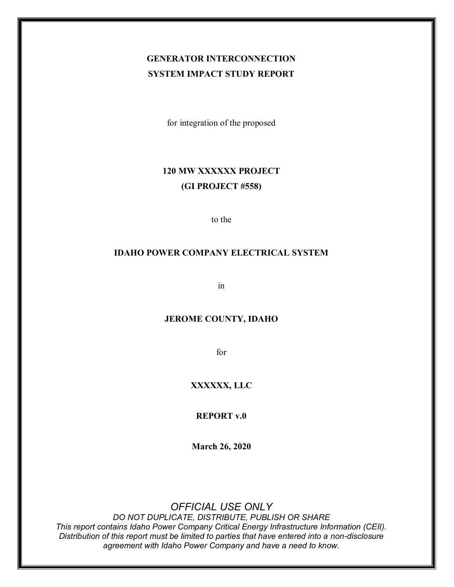## **GENERATOR INTERCONNECTION SYSTEM IMPACT STUDY REPORT**

for integration of the proposed

## **120 MW XXXXXX PROJECT (GI PROJECT #558)**

to the

### **IDAHO POWER COMPANY ELECTRICAL SYSTEM**

in

### **JEROME COUNTY, IDAHO**

for

### **XXXXXX, LLC**

**REPORT v.0**

**March 26, 2020**

### *OFFICIAL USE ONLY*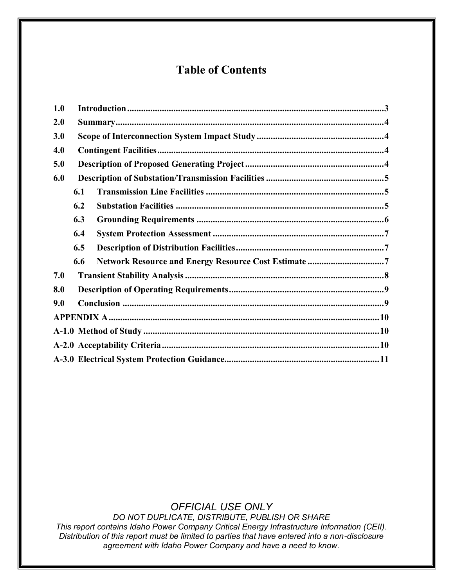## **Table of Contents**

| 1.0 |     |  |  |  |  |  |  |
|-----|-----|--|--|--|--|--|--|
| 2.0 |     |  |  |  |  |  |  |
| 3.0 |     |  |  |  |  |  |  |
| 4.0 |     |  |  |  |  |  |  |
| 5.0 |     |  |  |  |  |  |  |
| 6.0 |     |  |  |  |  |  |  |
|     | 6.1 |  |  |  |  |  |  |
|     | 6.2 |  |  |  |  |  |  |
|     | 6.3 |  |  |  |  |  |  |
|     | 6.4 |  |  |  |  |  |  |
|     | 6.5 |  |  |  |  |  |  |
|     | 6.6 |  |  |  |  |  |  |
| 7.0 |     |  |  |  |  |  |  |
| 8.0 |     |  |  |  |  |  |  |
| 9.0 |     |  |  |  |  |  |  |
|     |     |  |  |  |  |  |  |
|     |     |  |  |  |  |  |  |
|     |     |  |  |  |  |  |  |
|     |     |  |  |  |  |  |  |

*OFFICIAL USE ONLY*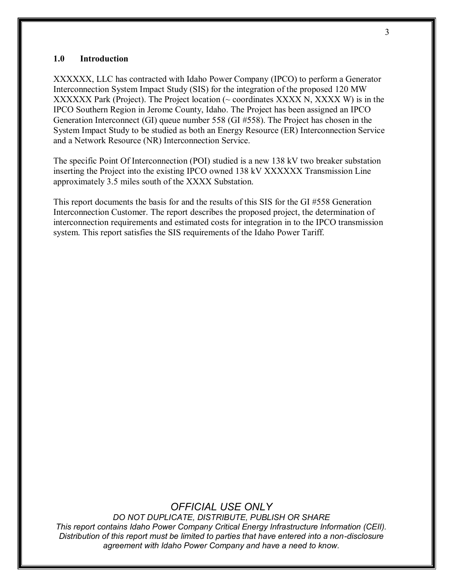#### <span id="page-2-0"></span>**1.0 Introduction**

XXXXXX, LLC has contracted with Idaho Power Company (IPCO) to perform a Generator Interconnection System Impact Study (SIS) for the integration of the proposed 120 MW XXXXXX Park (Project). The Project location (~ coordinates XXXX N, XXXX W) is in the IPCO Southern Region in Jerome County, Idaho. The Project has been assigned an IPCO Generation Interconnect (GI) queue number 558 (GI #558). The Project has chosen in the System Impact Study to be studied as both an Energy Resource (ER) Interconnection Service and a Network Resource (NR) Interconnection Service.

The specific Point Of Interconnection (POI) studied is a new 138 kV two breaker substation inserting the Project into the existing IPCO owned 138 kV XXXXXX Transmission Line approximately 3.5 miles south of the XXXX Substation.

This report documents the basis for and the results of this SIS for the GI #558 Generation Interconnection Customer. The report describes the proposed project, the determination of interconnection requirements and estimated costs for integration in to the IPCO transmission system. This report satisfies the SIS requirements of the Idaho Power Tariff.

### *OFFICIAL USE ONLY*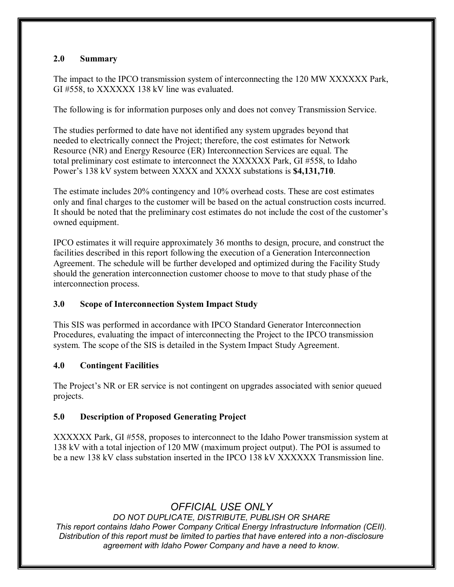### <span id="page-3-0"></span>**2.0 Summary**

The impact to the IPCO transmission system of interconnecting the 120 MW XXXXXX Park, GI #558, to XXXXXX 138 kV line was evaluated.

The following is for information purposes only and does not convey Transmission Service.

The studies performed to date have not identified any system upgrades beyond that needed to electrically connect the Project; therefore, the cost estimates for Network Resource (NR) and Energy Resource (ER) Interconnection Services are equal. The total preliminary cost estimate to interconnect the XXXXXX Park, GI #558, to Idaho Power's 138 kV system between XXXX and XXXX substations is **\$4,131,710**.

The estimate includes 20% contingency and 10% overhead costs. These are cost estimates only and final charges to the customer will be based on the actual construction costs incurred. It should be noted that the preliminary cost estimates do not include the cost of the customer's owned equipment.

IPCO estimates it will require approximately 36 months to design, procure, and construct the facilities described in this report following the execution of a Generation Interconnection Agreement. The schedule will be further developed and optimized during the Facility Study should the generation interconnection customer choose to move to that study phase of the interconnection process.

### <span id="page-3-1"></span>**3.0 Scope of Interconnection System Impact Study**

This SIS was performed in accordance with IPCO Standard Generator Interconnection Procedures, evaluating the impact of interconnecting the Project to the IPCO transmission system. The scope of the SIS is detailed in the System Impact Study Agreement.

### <span id="page-3-2"></span>**4.0 Contingent Facilities**

The Project's NR or ER service is not contingent on upgrades associated with senior queued projects.

### <span id="page-3-3"></span>**5.0 Description of Proposed Generating Project**

XXXXXX Park, GI #558, proposes to interconnect to the Idaho Power transmission system at 138 kV with a total injection of 120 MW (maximum project output). The POI is assumed to be a new 138 kV class substation inserted in the IPCO 138 kV XXXXXX Transmission line.

## *OFFICIAL USE ONLY*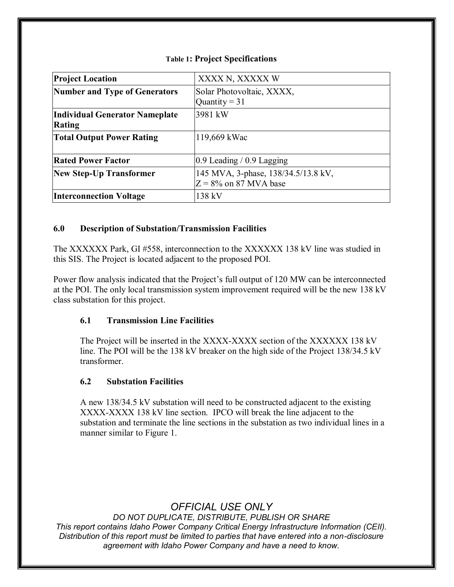| <b>Project Location</b>              | XXXX N, XXXXX W                     |
|--------------------------------------|-------------------------------------|
| <b>Number and Type of Generators</b> | Solar Photovoltaic, XXXX,           |
|                                      | Quantity = $31$                     |
| Individual Generator Nameplate       | 3981 kW                             |
| <b>Rating</b>                        |                                     |
| <b>Total Output Power Rating</b>     | 119,669 kWac                        |
|                                      |                                     |
| <b>Rated Power Factor</b>            | $0.9$ Leading / 0.9 Lagging         |
| <b>New Step-Up Transformer</b>       | 145 MVA, 3-phase, 138/34.5/13.8 kV, |
|                                      | $Z = 8\%$ on 87 MVA base            |
| <b>Interconnection Voltage</b>       | 138 kV                              |

### **Table 1: Project Specifications**

### <span id="page-4-0"></span>**6.0 Description of Substation/Transmission Facilities**

The XXXXXX Park, GI #558, interconnection to the XXXXXX 138 kV line was studied in this SIS. The Project is located adjacent to the proposed POI.

Power flow analysis indicated that the Project's full output of 120 MW can be interconnected at the POI. The only local transmission system improvement required will be the new 138 kV class substation for this project.

### <span id="page-4-1"></span>**6.1 Transmission Line Facilities**

The Project will be inserted in the XXXX-XXXX section of the XXXXXX 138 kV line. The POI will be the 138 kV breaker on the high side of the Project 138/34.5 kV transformer.

### <span id="page-4-2"></span>**6.2 Substation Facilities**

A new 138/34.5 kV substation will need to be constructed adjacent to the existing XXXX-XXXX 138 kV line section. IPCO will break the line adjacent to the substation and terminate the line sections in the substation as two individual lines in a manner similar to Figure 1.

### *OFFICIAL USE ONLY*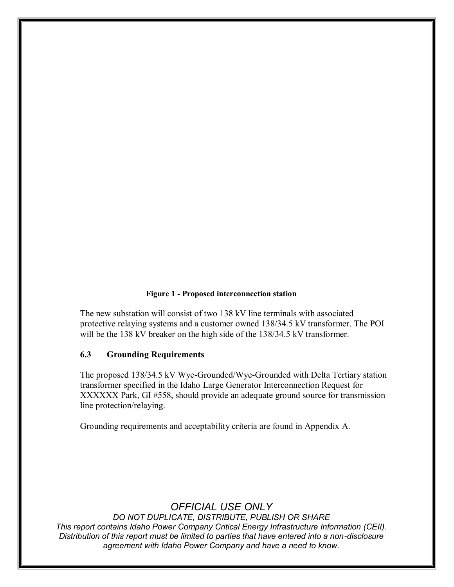#### **Figure 1 - Proposed interconnection station**

The new substation will consist of two 138 kV line terminals with associated protective relaying systems and a customer owned 138/34.5 kV transformer. The POI will be the 138 kV breaker on the high side of the 138/34.5 kV transformer.

### <span id="page-5-0"></span>**6.3 Grounding Requirements**

The proposed 138/34.5 kV Wye-Grounded/Wye-Grounded with Delta Tertiary station transformer specified in the Idaho Large Generator Interconnection Request for XXXXXX Park, GI #558, should provide an adequate ground source for transmission line protection/relaying.

Grounding requirements and acceptability criteria are found in Appendix A.

### *OFFICIAL USE ONLY*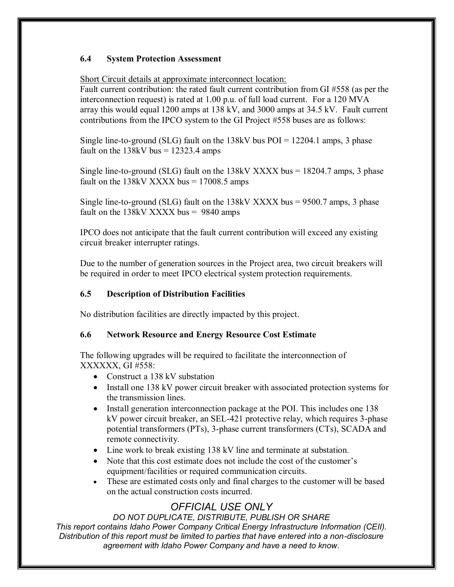### <span id="page-6-0"></span>**6.4 System Protection Assessment**

Short Circuit details at approximate interconnect location:

Fault current contribution: the rated fault current contribution from GI #558 (as per the interconnection request) is rated at 1.00 p.u. of full load current. For a 120 MVA array this would equal 1200 amps at 138 kV, and 3000 amps at 34.5 kV. Fault current contributions from the IPCO system to the GI Project #558 buses are as follows:

Single line-to-ground (SLG) fault on the  $138kV$  bus POI =  $12204.1$  amps, 3 phase fault on the  $138kV$  bus =  $12323.4$  amps

Single line-to-ground (SLG) fault on the  $138kV$  XXXX bus =  $18204.7$  amps, 3 phase fault on the  $138kV$  XXXX bus =  $17008.5$  amps

Single line-to-ground (SLG) fault on the 138kV XXXX bus = 9500.7 amps, 3 phase fault on the  $138kV$  XXXX bus = 9840 amps

IPCO does not anticipate that the fault current contribution will exceed any existing circuit breaker interrupter ratings.

Due to the number of generation sources in the Project area, two circuit breakers will be required in order to meet IPCO electrical system protection requirements.

### <span id="page-6-1"></span>**6.5 Description of Distribution Facilities**

No distribution facilities are directly impacted by this project.

### <span id="page-6-2"></span>**6.6 Network Resource and Energy Resource Cost Estimate**

The following upgrades will be required to facilitate the interconnection of XXXXXX, GI #558:

- Construct a 138 kV substation
- Install one 138 kV power circuit breaker with associated protection systems for the transmission lines.
- Install generation interconnection package at the POI. This includes one 138 kV power circuit breaker, an SEL-421 protective relay, which requires 3-phase potential transformers (PTs), 3-phase current transformers (CTs), SCADA and remote connectivity.
- Line work to break existing 138 kV line and terminate at substation.
- Note that this cost estimate does not include the cost of the customer's equipment/facilities or required communication circuits.
- These are estimated costs only and final charges to the customer will be based on the actual construction costs incurred.

## *OFFICIAL USE ONLY*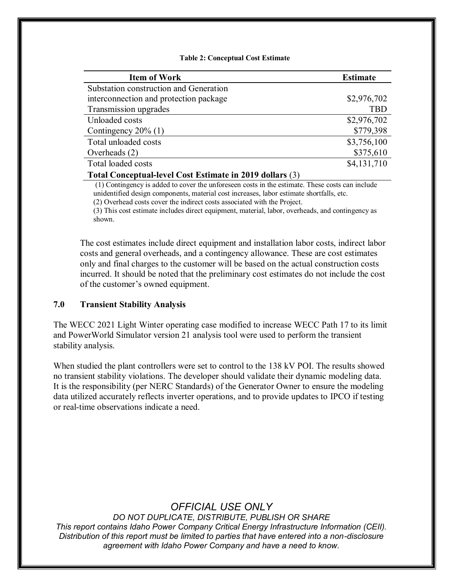#### **Table 2: Conceptual Cost Estimate**

| <b>Item of Work</b>                                       | <b>Estimate</b> |  |  |  |
|-----------------------------------------------------------|-----------------|--|--|--|
| Substation construction and Generation                    |                 |  |  |  |
| interconnection and protection package                    | \$2,976,702     |  |  |  |
| Transmission upgrades                                     | <b>TBD</b>      |  |  |  |
| Unloaded costs                                            | \$2,976,702     |  |  |  |
| Contingency $20\%$ (1)                                    | \$779,398       |  |  |  |
| Total unloaded costs                                      | \$3,756,100     |  |  |  |
| Overheads $(2)$                                           | \$375,610       |  |  |  |
| Total loaded costs                                        | \$4,131,710     |  |  |  |
| $Total Canaam$ and $Cost$ Estimate in 2010 dellarge $(2)$ |                 |  |  |  |

**Total Conceptual-level Cost Estimate in 2019 dollars** (3)

(1) Contingency is added to cover the unforeseen costs in the estimate. These costs can include unidentified design components, material cost increases, labor estimate shortfalls, etc.

(2) Overhead costs cover the indirect costs associated with the Project.

(3) This cost estimate includes direct equipment, material, labor, overheads, and contingency as shown.

The cost estimates include direct equipment and installation labor costs, indirect labor costs and general overheads, and a contingency allowance. These are cost estimates only and final charges to the customer will be based on the actual construction costs incurred. It should be noted that the preliminary cost estimates do not include the cost of the customer's owned equipment.

#### <span id="page-7-0"></span>**7.0 Transient Stability Analysis**

The WECC 2021 Light Winter operating case modified to increase WECC Path 17 to its limit and PowerWorld Simulator version 21 analysis tool were used to perform the transient stability analysis.

When studied the plant controllers were set to control to the 138 kV POI. The results showed no transient stability violations. The developer should validate their dynamic modeling data. It is the responsibility (per NERC Standards) of the Generator Owner to ensure the modeling data utilized accurately reflects inverter operations, and to provide updates to IPCO if testing or real-time observations indicate a need.

### *OFFICIAL USE ONLY*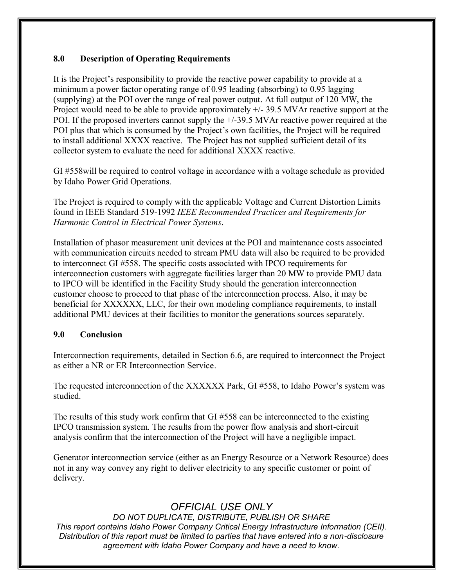### <span id="page-8-0"></span>**8.0 Description of Operating Requirements**

It is the Project's responsibility to provide the reactive power capability to provide at a minimum a power factor operating range of 0.95 leading (absorbing) to 0.95 lagging (supplying) at the POI over the range of real power output. At full output of 120 MW, the Project would need to be able to provide approximately +/- 39.5 MVAr reactive support at the POI. If the proposed inverters cannot supply the +/-39.5 MVAr reactive power required at the POI plus that which is consumed by the Project's own facilities, the Project will be required to install additional XXXX reactive. The Project has not supplied sufficient detail of its collector system to evaluate the need for additional XXXX reactive.

GI #558will be required to control voltage in accordance with a voltage schedule as provided by Idaho Power Grid Operations.

The Project is required to comply with the applicable Voltage and Current Distortion Limits found in IEEE Standard 519-1992 *IEEE Recommended Practices and Requirements for Harmonic Control in Electrical Power Systems*.

Installation of phasor measurement unit devices at the POI and maintenance costs associated with communication circuits needed to stream PMU data will also be required to be provided to interconnect GI #558. The specific costs associated with IPCO requirements for interconnection customers with aggregate facilities larger than 20 MW to provide PMU data to IPCO will be identified in the Facility Study should the generation interconnection customer choose to proceed to that phase of the interconnection process. Also, it may be beneficial for XXXXXX, LLC, for their own modeling compliance requirements, to install additional PMU devices at their facilities to monitor the generations sources separately.

### <span id="page-8-1"></span>**9.0 Conclusion**

Interconnection requirements, detailed in Section 6.6, are required to interconnect the Project as either a NR or ER Interconnection Service.

The requested interconnection of the XXXXXX Park, GI #558, to Idaho Power's system was studied.

The results of this study work confirm that GI #558 can be interconnected to the existing IPCO transmission system. The results from the power flow analysis and short-circuit analysis confirm that the interconnection of the Project will have a negligible impact.

Generator interconnection service (either as an Energy Resource or a Network Resource) does not in any way convey any right to deliver electricity to any specific customer or point of delivery.

## *OFFICIAL USE ONLY*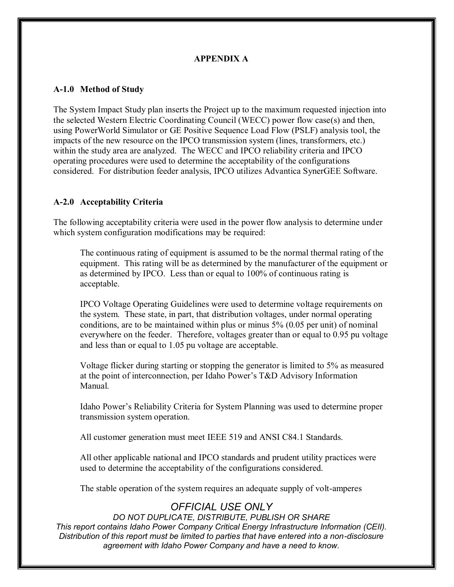### **APPENDIX A**

### <span id="page-9-1"></span><span id="page-9-0"></span>**A-1.0 Method of Study**

The System Impact Study plan inserts the Project up to the maximum requested injection into the selected Western Electric Coordinating Council (WECC) power flow case(s) and then, using PowerWorld Simulator or GE Positive Sequence Load Flow (PSLF) analysis tool, the impacts of the new resource on the IPCO transmission system (lines, transformers, etc.) within the study area are analyzed. The WECC and IPCO reliability criteria and IPCO operating procedures were used to determine the acceptability of the configurations considered. For distribution feeder analysis, IPCO utilizes Advantica SynerGEE Software.

### <span id="page-9-2"></span>**A-2.0 Acceptability Criteria**

The following acceptability criteria were used in the power flow analysis to determine under which system configuration modifications may be required:

The continuous rating of equipment is assumed to be the normal thermal rating of the equipment. This rating will be as determined by the manufacturer of the equipment or as determined by IPCO. Less than or equal to 100% of continuous rating is acceptable.

IPCO Voltage Operating Guidelines were used to determine voltage requirements on the system. These state, in part, that distribution voltages, under normal operating conditions, are to be maintained within plus or minus  $5\%$  (0.05 per unit) of nominal everywhere on the feeder. Therefore, voltages greater than or equal to 0.95 pu voltage and less than or equal to 1.05 pu voltage are acceptable.

Voltage flicker during starting or stopping the generator is limited to 5% as measured at the point of interconnection, per Idaho Power's T&D Advisory Information Manual.

Idaho Power's Reliability Criteria for System Planning was used to determine proper transmission system operation.

All customer generation must meet IEEE 519 and ANSI C84.1 Standards.

All other applicable national and IPCO standards and prudent utility practices were used to determine the acceptability of the configurations considered.

The stable operation of the system requires an adequate supply of volt-amperes

### *OFFICIAL USE ONLY*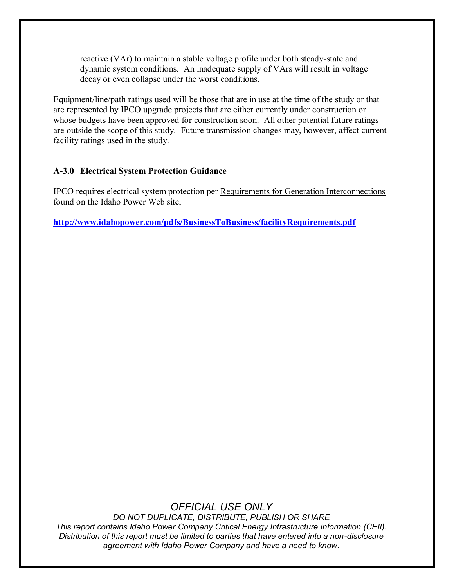reactive (VAr) to maintain a stable voltage profile under both steady-state and dynamic system conditions. An inadequate supply of VArs will result in voltage decay or even collapse under the worst conditions.

Equipment/line/path ratings used will be those that are in use at the time of the study or that are represented by IPCO upgrade projects that are either currently under construction or whose budgets have been approved for construction soon. All other potential future ratings are outside the scope of this study. Future transmission changes may, however, affect current facility ratings used in the study.

### <span id="page-10-0"></span>**A-3.0 Electrical System Protection Guidance**

IPCO requires electrical system protection per Requirements for Generation Interconnections found on the Idaho Power Web site,

**<http://www.idahopower.com/pdfs/BusinessToBusiness/facilityRequirements.pdf>**

### *OFFICIAL USE ONLY*